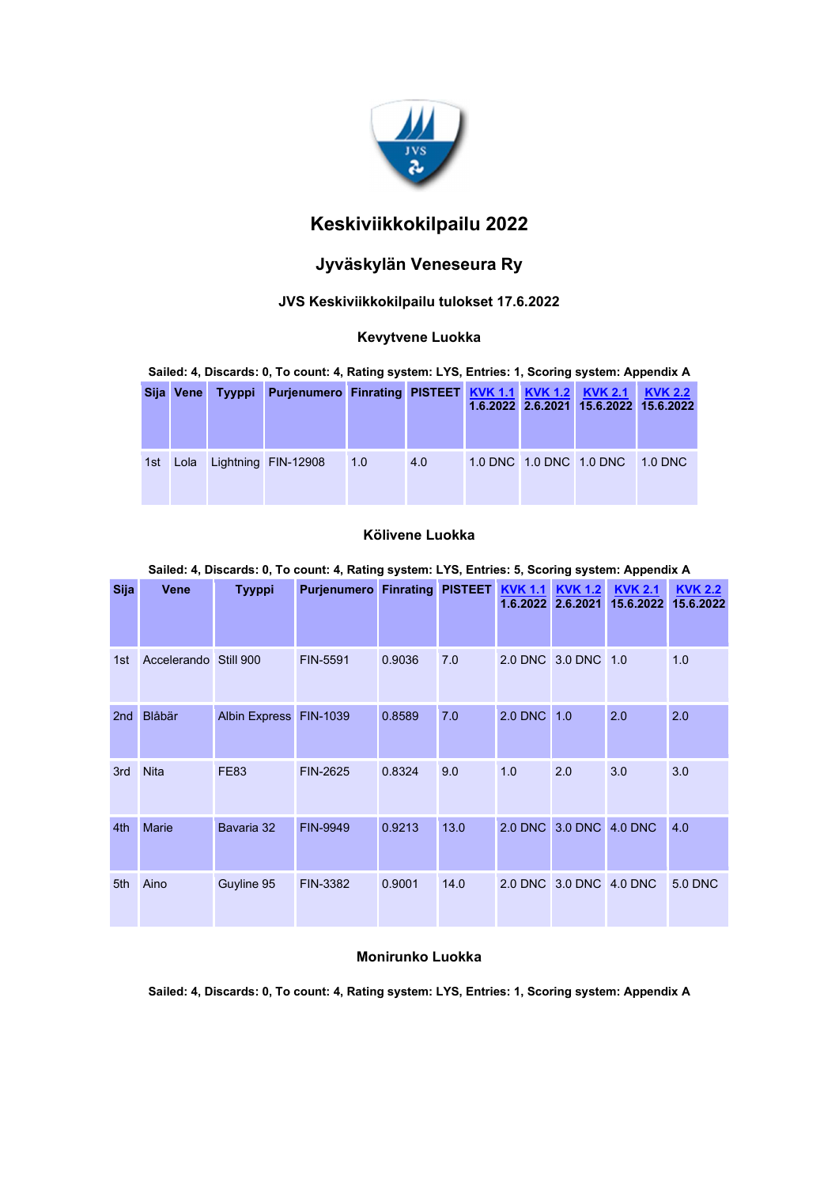

# Keskiviikkokilpailu 2022

# Jyväskylän Veneseura Ry

## JVS Keskiviikkokilpailu tulokset 17.6.2022

### Kevytvene Luokka

Sailed: 4, Discards: 0, To count: 4, Rating system: LYS, Entries: 1, Scoring system: Appendix A

| Sija Vene | Tyyppi | Purjenumero Finrating PISTEET KVK 1.1 KVK 1.2 KVK 2.1 |     |     |  | 1.6.2022 2.6.2021 15.6.2022 15.6.2022 | <b>KVK 2.2</b> |
|-----------|--------|-------------------------------------------------------|-----|-----|--|---------------------------------------|----------------|
|           |        | 1st Lola Lightning FIN-12908                          | 1.0 | 4.0 |  | 1.0 DNC 1.0 DNC 1.0 DNC 1.0 DNC       |                |

## Kölivene Luokka

#### Sailed: 4, Discards: 0, To count: 4, Rating system: LYS, Entries: 5, Scoring system: Appendix A

| <b>Sija</b> | <b>Vene</b>           | <b>Tyyppi</b>          | Purjenumero Finrating PISTEET KVK 1.1 |        |      | 1.6.2022    | <b>KVK 1.2</b><br>2.6.2021 | <b>KVK 2.1</b><br>15.6.2022 | <b>KVK 2.2</b><br>15.6.2022 |
|-------------|-----------------------|------------------------|---------------------------------------|--------|------|-------------|----------------------------|-----------------------------|-----------------------------|
|             |                       |                        |                                       |        |      |             |                            |                             |                             |
| 1st         | Accelerando Still 900 |                        | FIN-5591                              | 0.9036 | 7.0  |             | 2.0 DNC 3.0 DNC 1.0        |                             | 1.0                         |
| 2nd         | Blåbär                | Albin Express FIN-1039 |                                       | 0.8589 | 7.0  | 2.0 DNC 1.0 |                            | 2.0                         | 2.0                         |
| 3rd         | <b>Nita</b>           | <b>FE83</b>            | FIN-2625                              | 0.8324 | 9.0  | 1.0         | 2.0                        | 3.0                         | 3.0                         |
| 4th         | <b>Marie</b>          | Bavaria 32             | <b>FIN-9949</b>                       | 0.9213 | 13.0 |             | 2.0 DNC 3.0 DNC 4.0 DNC    |                             | 4.0                         |
| 5th         | Aino                  | Guyline 95             | FIN-3382                              | 0.9001 | 14.0 |             | 2.0 DNC 3.0 DNC 4.0 DNC    |                             | <b>5.0 DNC</b>              |

## Monirunko Luokka

Sailed: 4, Discards: 0, To count: 4, Rating system: LYS, Entries: 1, Scoring system: Appendix A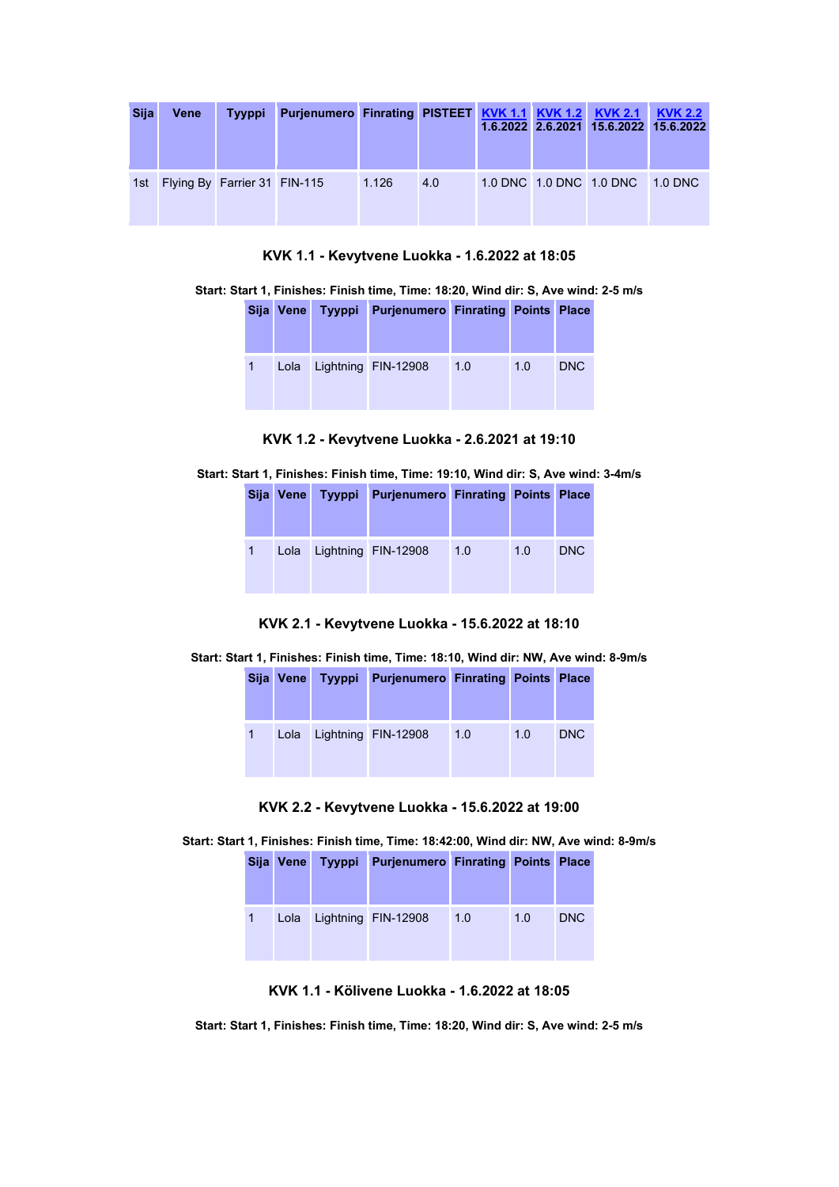| <b>Sija</b> | Vene | <b>Tyyppi</b>                    | Purjenumero Finrating PISTEET KVK 1.1 KVK 1.2 KVK 2.1 |       |     |  |                                 | <b>KVK 2.2</b><br>1.6.2022 2.6.2021 15.6.2022 15.6.2022 |
|-------------|------|----------------------------------|-------------------------------------------------------|-------|-----|--|---------------------------------|---------------------------------------------------------|
|             |      | 1st Flying By Farrier 31 FIN-115 |                                                       | 1.126 | 4.0 |  | 1.0 DNC 1.0 DNC 1.0 DNC 1.0 DNC |                                                         |

KVK 1.1 - Kevytvene Luokka - 1.6.2022 at 18:05

|  |  |  |  |  | Start: Start 1, Finishes: Finish time, Time: 18:20, Wind dir: S, Ave wind: 2-5 m/s |
|--|--|--|--|--|------------------------------------------------------------------------------------|
|--|--|--|--|--|------------------------------------------------------------------------------------|

|              | Sija Vene Tyyppi | <b>Purjenumero Finrating Points Place</b> |     |     |            |
|--------------|------------------|-------------------------------------------|-----|-----|------------|
| $\mathbf{1}$ |                  | Lola Lightning FIN-12908                  | 1.0 | 1.0 | <b>DNC</b> |

### KVK 1.2 - Kevytvene Luokka - 2.6.2021 at 19:10

Start: Start 1, Finishes: Finish time, Time: 19:10, Wind dir: S, Ave wind: 3-4m/s

|                | Sija Vene Tyyppi | <b>Purjenumero Finrating Points Place</b> |     |     |            |
|----------------|------------------|-------------------------------------------|-----|-----|------------|
| $\overline{1}$ |                  | Lola Lightning FIN-12908                  | 1.0 | 1.0 | <b>DNC</b> |

KVK 2.1 - Kevytvene Luokka - 15.6.2022 at 18:10

#### Start: Start 1, Finishes: Finish time, Time: 18:10, Wind dir: NW, Ave wind: 8-9m/s

| Sija Vene | Tyyppi Purjenumero Finrating Points Place |     |     |            |
|-----------|-------------------------------------------|-----|-----|------------|
| Lola      | Lightning FIN-12908                       | 1.0 | 1.0 | <b>DNC</b> |

KVK 2.2 - Kevytvene Luokka - 15.6.2022 at 19:00

Start: Start 1, Finishes: Finish time, Time: 18:42:00, Wind dir: NW, Ave wind: 8-9m/s

|  | Sija Vene Tyyppi Purjenumero Finrating Points Place |     |     |            |
|--|-----------------------------------------------------|-----|-----|------------|
|  | Lola Lightning FIN-12908                            | 1.0 | 1.0 | <b>DNC</b> |

KVK 1.1 - Kölivene Luokka - 1.6.2022 at 18:05

Start: Start 1, Finishes: Finish time, Time: 18:20, Wind dir: S, Ave wind: 2-5 m/s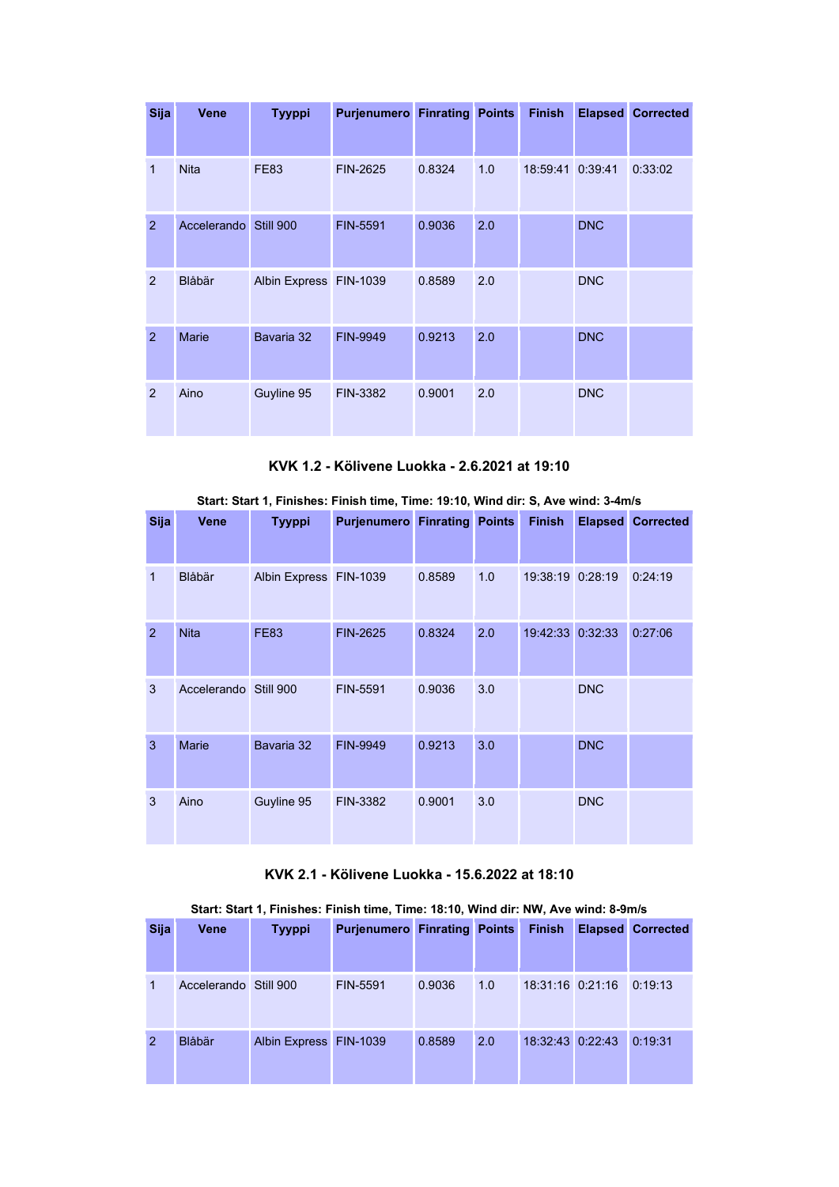| <b>Sija</b>   | <b>Vene</b>  | <b>Tyyppi</b>          | <b>Purjenumero Finrating Points</b> |        |     | <b>Finish</b>    |            | <b>Elapsed Corrected</b> |
|---------------|--------------|------------------------|-------------------------------------|--------|-----|------------------|------------|--------------------------|
|               |              |                        |                                     |        |     |                  |            |                          |
| 1             | <b>Nita</b>  | <b>FE83</b>            | FIN-2625                            | 0.8324 | 1.0 | 18:59:41 0:39:41 |            | 0:33:02                  |
| 2             | Accelerando  | Still 900              | <b>FIN-5591</b>                     | 0.9036 | 2.0 |                  | <b>DNC</b> |                          |
| 2             | Blåbär       | Albin Express FIN-1039 |                                     | 0.8589 | 2.0 |                  | <b>DNC</b> |                          |
| 2             | <b>Marie</b> | Bavaria 32             | <b>FIN-9949</b>                     | 0.9213 | 2.0 |                  | <b>DNC</b> |                          |
| $\mathcal{P}$ | Aino         | Guyline 95             | FIN-3382                            | 0.9001 | 2.0 |                  | <b>DNC</b> |                          |

KVK 1.2 - Kölivene Luokka - 2.6.2021 at 19:10

|  |  | Start: Start 1, Finishes: Finish time, Time: 19:10, Wind dir: S, Ave wind: 3-4m/s |
|--|--|-----------------------------------------------------------------------------------|
|  |  |                                                                                   |

| <b>Sija</b> | <b>Vene</b>           | <b>Tyyppi</b>          | <b>Purjenumero Finrating Points</b> |        |     | <b>Finish</b>    |            | <b>Elapsed Corrected</b> |
|-------------|-----------------------|------------------------|-------------------------------------|--------|-----|------------------|------------|--------------------------|
| 1           | Blåbär                | Albin Express FIN-1039 |                                     | 0.8589 | 1.0 | 19:38:19 0:28:19 |            | 0:24:19                  |
| 2           | <b>Nita</b>           | <b>FE83</b>            | <b>FIN-2625</b>                     | 0.8324 | 2.0 | 19:42:33 0:32:33 |            | 0:27:06                  |
| 3           | Accelerando Still 900 |                        | FIN-5591                            | 0.9036 | 3.0 |                  | <b>DNC</b> |                          |
| 3           | <b>Marie</b>          | Bavaria 32             | FIN-9949                            | 0.9213 | 3.0 |                  | <b>DNC</b> |                          |
| 3           | Aino                  | Guyline 95             | FIN-3382                            | 0.9001 | 3.0 |                  | <b>DNC</b> |                          |

KVK 2.1 - Kölivene Luokka - 15.6.2022 at 18:10

|  |  | Start: Start 1, Finishes: Finish time, Time: 18:10, Wind dir: NW, Ave wind: 8-9m/s |
|--|--|------------------------------------------------------------------------------------|
|  |  |                                                                                    |

| <b>Sija</b>   | <b>Vene</b>           | <b>Tyyppi</b>          | <b>Purjenumero Finrating Points</b> |        |     | <b>Finish</b>      | <b>Elapsed Corrected</b> |
|---------------|-----------------------|------------------------|-------------------------------------|--------|-----|--------------------|--------------------------|
| 1             | Accelerando Still 900 |                        | FIN-5591                            | 0.9036 | 1.0 | $18:31:16$ 0:21:16 | 0:19:13                  |
| $\mathcal{P}$ | <b>Blåbär</b>         | Albin Express FIN-1039 |                                     | 0.8589 | 2.0 | 18:32:43 0:22:43   | 0:19:31                  |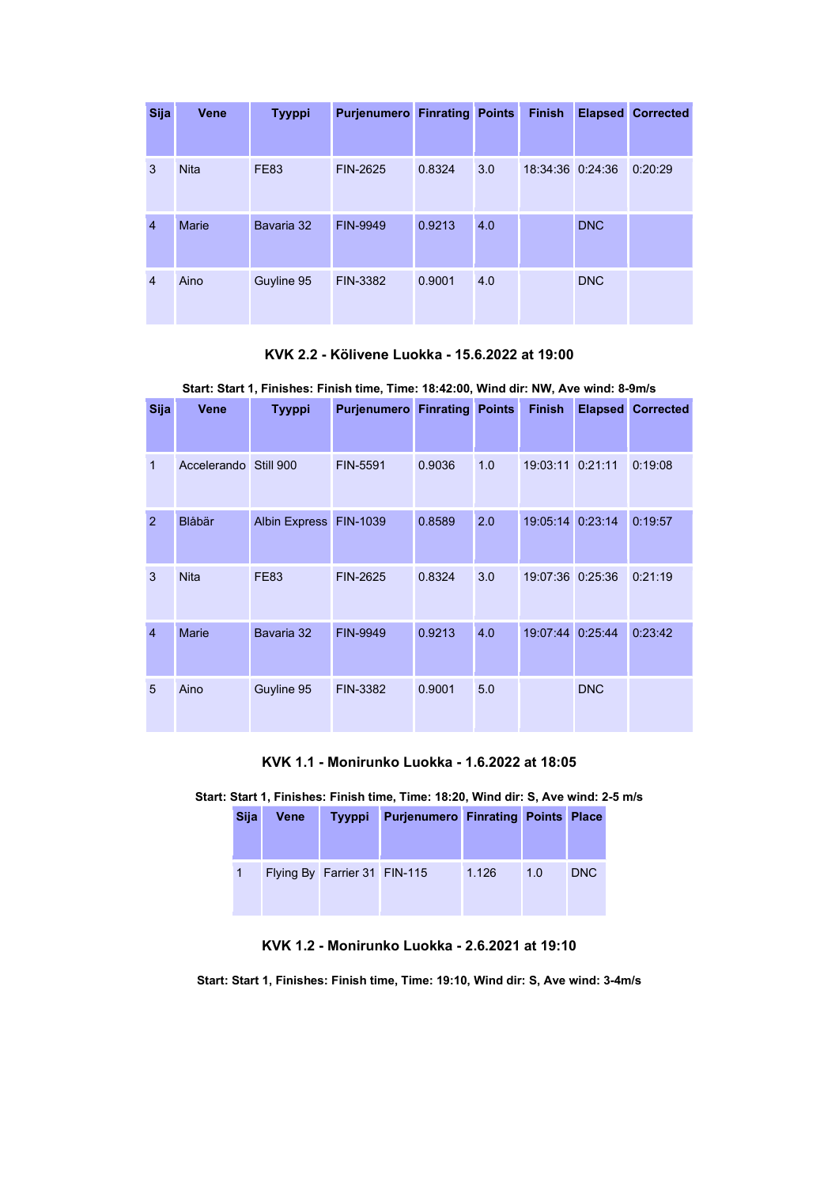| <b>Sija</b>    | <b>Vene</b> | <b>Tyyppi</b> | <b>Purjenumero Finrating Points</b> |        |     | <b>Finish</b>    |            | <b>Elapsed Corrected</b> |
|----------------|-------------|---------------|-------------------------------------|--------|-----|------------------|------------|--------------------------|
|                |             |               |                                     |        |     |                  |            |                          |
| 3              | <b>Nita</b> | <b>FE83</b>   | FIN-2625                            | 0.8324 | 3.0 | 18:34:36 0:24:36 |            | 0:20:29                  |
| $\overline{4}$ | Marie       | Bavaria 32    | FIN-9949                            | 0.9213 | 4.0 |                  | <b>DNC</b> |                          |
| $\overline{4}$ | Aino        | Guyline 95    | FIN-3382                            | 0.9001 | 4.0 |                  | <b>DNC</b> |                          |

KVK 2.2 - Kölivene Luokka - 15.6.2022 at 19:00

|  | Start: Start 1. Finishes: Finish time. Time: 18:42:00. Wind dir: NW. Ave wind: 8-9m/s |  |  |  |
|--|---------------------------------------------------------------------------------------|--|--|--|
|  |                                                                                       |  |  |  |

| <b>Sija</b>    | Vene                  | Tyyppi                 | <b>Purjenumero Finrating</b> |        | <b>Points</b> | <b>Finish</b>    | <b>Elapsed</b> | <b>Corrected</b> |
|----------------|-----------------------|------------------------|------------------------------|--------|---------------|------------------|----------------|------------------|
|                |                       |                        |                              |        |               |                  |                |                  |
| 1              | Accelerando Still 900 |                        | FIN-5591                     | 0.9036 | 1.0           | 19:03:11 0:21:11 |                | 0:19:08          |
| $\overline{2}$ | Blåbär                | Albin Express FIN-1039 |                              | 0.8589 | 2.0           | 19:05:14 0:23:14 |                | 0:19:57          |
| 3              | <b>Nita</b>           | <b>FE83</b>            | FIN-2625                     | 0.8324 | 3.0           | 19:07:36 0:25:36 |                | 0:21:19          |
| $\overline{4}$ | <b>Marie</b>          | Bavaria 32             | <b>FIN-9949</b>              | 0.9213 | 4.0           | 19:07:44 0:25:44 |                | 0:23:42          |
| 5              | Aino                  | Guyline 95             | FIN-3382                     | 0.9001 | 5.0           |                  | <b>DNC</b>     |                  |

KVK 1.1 - Monirunko Luokka - 1.6.2022 at 18:05

Start: Start 1, Finishes: Finish time, Time: 18:20, Wind dir: S, Ave wind: 2-5 m/s

| <b>Sija</b> | Vene | <b>Tyyppi</b>                | <b>Purjenumero Finrating Points Place</b> |       |     |            |
|-------------|------|------------------------------|-------------------------------------------|-------|-----|------------|
|             |      | Flying By Farrier 31 FIN-115 |                                           | 1.126 | 1.0 | <b>DNC</b> |

KVK 1.2 - Monirunko Luokka - 2.6.2021 at 19:10

Start: Start 1, Finishes: Finish time, Time: 19:10, Wind dir: S, Ave wind: 3-4m/s